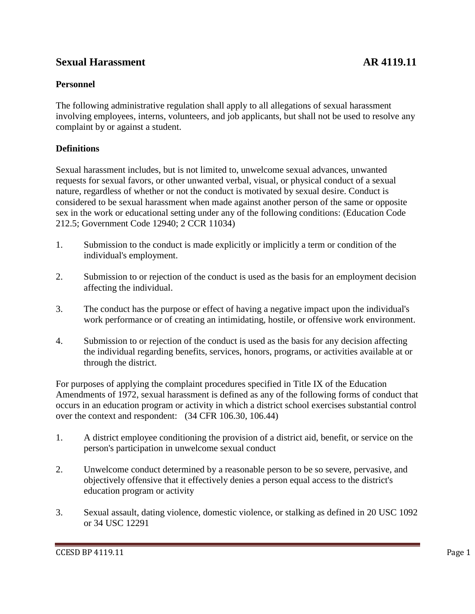# **Sexual Harassment AR 4119.11**

## **Personnel**

The following administrative regulation shall apply to all allegations of sexual harassment involving employees, interns, volunteers, and job applicants, but shall not be used to resolve any complaint by or against a student.

## **Definitions**

Sexual harassment includes, but is not limited to, unwelcome sexual advances, unwanted requests for sexual favors, or other unwanted verbal, visual, or physical conduct of a sexual nature, regardless of whether or not the conduct is motivated by sexual desire. Conduct is considered to be sexual harassment when made against another person of the same or opposite sex in the work or educational setting under any of the following conditions: (Education Code 212.5; Government Code 12940; 2 CCR 11034)

- 1. Submission to the conduct is made explicitly or implicitly a term or condition of the individual's employment.
- 2. Submission to or rejection of the conduct is used as the basis for an employment decision affecting the individual.
- 3. The conduct has the purpose or effect of having a negative impact upon the individual's work performance or of creating an intimidating, hostile, or offensive work environment.
- 4. Submission to or rejection of the conduct is used as the basis for any decision affecting the individual regarding benefits, services, honors, programs, or activities available at or through the district.

For purposes of applying the complaint procedures specified in Title IX of the Education Amendments of 1972, sexual harassment is defined as any of the following forms of conduct that occurs in an education program or activity in which a district school exercises substantial control over the context and respondent: (34 CFR 106.30, 106.44)

- 1. A district employee conditioning the provision of a district aid, benefit, or service on the person's participation in unwelcome sexual conduct
- 2. Unwelcome conduct determined by a reasonable person to be so severe, pervasive, and objectively offensive that it effectively denies a person equal access to the district's education program or activity
- 3. Sexual assault, dating violence, domestic violence, or stalking as defined in 20 USC 1092 or 34 USC 12291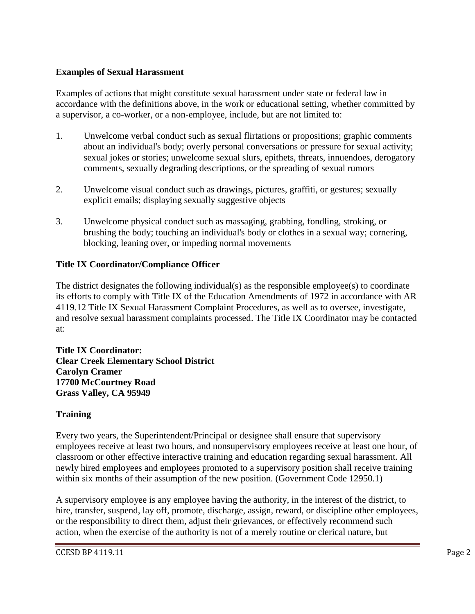#### **Examples of Sexual Harassment**

Examples of actions that might constitute sexual harassment under state or federal law in accordance with the definitions above, in the work or educational setting, whether committed by a supervisor, a co-worker, or a non-employee, include, but are not limited to:

- 1. Unwelcome verbal conduct such as sexual flirtations or propositions; graphic comments about an individual's body; overly personal conversations or pressure for sexual activity; sexual jokes or stories; unwelcome sexual slurs, epithets, threats, innuendoes, derogatory comments, sexually degrading descriptions, or the spreading of sexual rumors
- 2. Unwelcome visual conduct such as drawings, pictures, graffiti, or gestures; sexually explicit emails; displaying sexually suggestive objects
- 3. Unwelcome physical conduct such as massaging, grabbing, fondling, stroking, or brushing the body; touching an individual's body or clothes in a sexual way; cornering, blocking, leaning over, or impeding normal movements

#### **Title IX Coordinator/Compliance Officer**

The district designates the following individual(s) as the responsible employee(s) to coordinate its efforts to comply with Title IX of the Education Amendments of 1972 in accordance with AR 4119.12 Title IX Sexual Harassment Complaint Procedures, as well as to oversee, investigate, and resolve sexual harassment complaints processed. The Title IX Coordinator may be contacted at:

**Title IX Coordinator: Clear Creek Elementary School District Carolyn Cramer 17700 McCourtney Road Grass Valley, CA 95949**

#### **Training**

Every two years, the Superintendent/Principal or designee shall ensure that supervisory employees receive at least two hours, and nonsupervisory employees receive at least one hour, of classroom or other effective interactive training and education regarding sexual harassment. All newly hired employees and employees promoted to a supervisory position shall receive training within six months of their assumption of the new position. (Government Code 12950.1)

A supervisory employee is any employee having the authority, in the interest of the district, to hire, transfer, suspend, lay off, promote, discharge, assign, reward, or discipline other employees, or the responsibility to direct them, adjust their grievances, or effectively recommend such action, when the exercise of the authority is not of a merely routine or clerical nature, but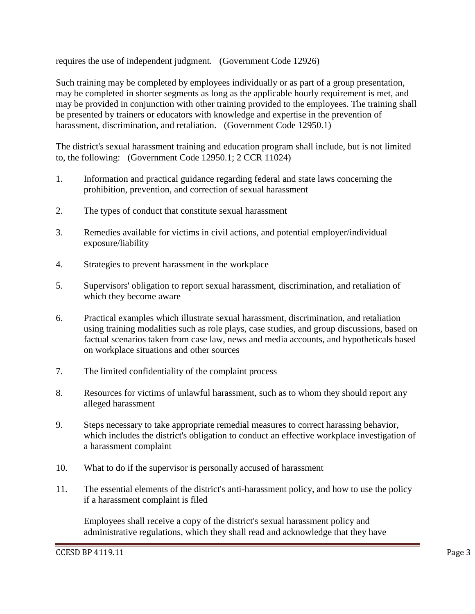requires the use of independent judgment. (Government Code 12926)

Such training may be completed by employees individually or as part of a group presentation, may be completed in shorter segments as long as the applicable hourly requirement is met, and may be provided in conjunction with other training provided to the employees. The training shall be presented by trainers or educators with knowledge and expertise in the prevention of harassment, discrimination, and retaliation. (Government Code 12950.1)

The district's sexual harassment training and education program shall include, but is not limited to, the following: (Government Code 12950.1; 2 CCR 11024)

- 1. Information and practical guidance regarding federal and state laws concerning the prohibition, prevention, and correction of sexual harassment
- 2. The types of conduct that constitute sexual harassment
- 3. Remedies available for victims in civil actions, and potential employer/individual exposure/liability
- 4. Strategies to prevent harassment in the workplace
- 5. Supervisors' obligation to report sexual harassment, discrimination, and retaliation of which they become aware
- 6. Practical examples which illustrate sexual harassment, discrimination, and retaliation using training modalities such as role plays, case studies, and group discussions, based on factual scenarios taken from case law, news and media accounts, and hypotheticals based on workplace situations and other sources
- 7. The limited confidentiality of the complaint process
- 8. Resources for victims of unlawful harassment, such as to whom they should report any alleged harassment
- 9. Steps necessary to take appropriate remedial measures to correct harassing behavior, which includes the district's obligation to conduct an effective workplace investigation of a harassment complaint
- 10. What to do if the supervisor is personally accused of harassment
- 11. The essential elements of the district's anti-harassment policy, and how to use the policy if a harassment complaint is filed

Employees shall receive a copy of the district's sexual harassment policy and administrative regulations, which they shall read and acknowledge that they have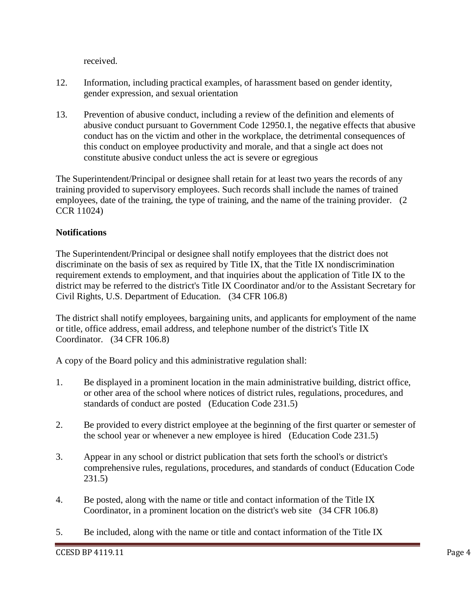received.

- 12. Information, including practical examples, of harassment based on gender identity, gender expression, and sexual orientation
- 13. Prevention of abusive conduct, including a review of the definition and elements of abusive conduct pursuant to Government Code 12950.1, the negative effects that abusive conduct has on the victim and other in the workplace, the detrimental consequences of this conduct on employee productivity and morale, and that a single act does not constitute abusive conduct unless the act is severe or egregious

The Superintendent/Principal or designee shall retain for at least two years the records of any training provided to supervisory employees. Such records shall include the names of trained employees, date of the training, the type of training, and the name of the training provider. (2 CCR 11024)

## **Notifications**

The Superintendent/Principal or designee shall notify employees that the district does not discriminate on the basis of sex as required by Title IX, that the Title IX nondiscrimination requirement extends to employment, and that inquiries about the application of Title IX to the district may be referred to the district's Title IX Coordinator and/or to the Assistant Secretary for Civil Rights, U.S. Department of Education. (34 CFR 106.8)

The district shall notify employees, bargaining units, and applicants for employment of the name or title, office address, email address, and telephone number of the district's Title IX Coordinator. (34 CFR 106.8)

A copy of the Board policy and this administrative regulation shall:

- 1. Be displayed in a prominent location in the main administrative building, district office, or other area of the school where notices of district rules, regulations, procedures, and standards of conduct are posted (Education Code 231.5)
- 2. Be provided to every district employee at the beginning of the first quarter or semester of the school year or whenever a new employee is hired (Education Code 231.5)
- 3. Appear in any school or district publication that sets forth the school's or district's comprehensive rules, regulations, procedures, and standards of conduct (Education Code 231.5)
- 4. Be posted, along with the name or title and contact information of the Title IX Coordinator, in a prominent location on the district's web site (34 CFR 106.8)
- 5. Be included, along with the name or title and contact information of the Title IX